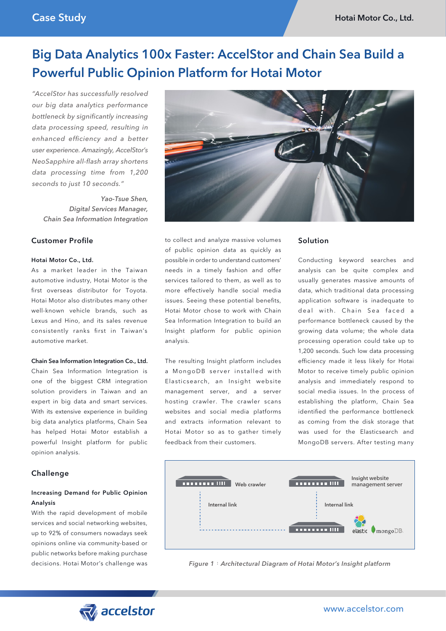# Big Data Analytics 100x Faster: AccelStor and Chain Sea Build a Powerful Public Opinion Platform for Hotai Motor

*"AccelStor has successfully resolved our big data analytics performance bottleneck by significantly increasing data processing speed, resulting in enhanced efficiency and a better user experience. Amazingly, AccelStor's NeoSapphire all-flash array shortens data processing time from 1,200 seconds to just 10 seconds."*

 *Yao-Tsue Shen, Digital Services Manager, Chain Sea Information Integration*

## Customer Profile

#### Hotai Motor Co., Ltd.

As a market leader in the Taiwan automotive industry, Hotai Motor is the first overseas distributor for Toyota. Hotai Motor also distributes many other well-known vehicle brands, such as Lexus and Hino, and its sales revenue consistently ranks first in Taiwan's automotive market.

#### Chain Sea Information Integration Co., Ltd.

Chain Sea Information Integration is one of the biggest CRM integration solution providers in Taiwan and an expert in big data and smart services. With its extensive experience in building big data analytics platforms, Chain Sea has helped Hotai Motor establish a powerful Insight platform for public opinion analysis.

## **Challenge**

## Increasing Demand for Public Opinion Analysis

With the rapid development of mobile services and social networking websites, up to 92% of consumers nowadays seek opinions online via community-based or public networks before making purchase decisions. Hotai Motor's challenge was



to collect and analyze massive volumes of public opinion data as quickly as possible in order to understand customers' needs in a timely fashion and offer services tailored to them, as well as to more effectively handle social media issues. Seeing these potential benefits, Hotai Motor chose to work with Chain Sea Information Integration to build an Insight platform for public opinion analysis.

The resulting Insight platform includes a MongoDB server installed with Elasticsearch, an Insight website management server, and a server hosting crawler. The crawler scans websites and social media platforms and extracts information relevant to Hotai Motor so as to gather timely feedback from their customers.

#### Solution

Conducting keyword searches and analysis can be quite complex and usually generates massive amounts of data, which traditional data processing application software is inadequate to deal with. Chain Sea faced a performance bottleneck caused by the growing data volume; the whole data processing operation could take up to 1,200 seconds. Such low data processing efficiency made it less likely for Hotai Motor to receive timely public opinion analysis and immediately respond to social media issues. In the process of establishing the platform, Chain Sea identified the performance bottleneck as coming from the disk storage that was used for the Elasticsearch and MongoDB servers. After testing many



*Figure 1*:*Architectural Diagram of Hotai Motor's Insight platform*